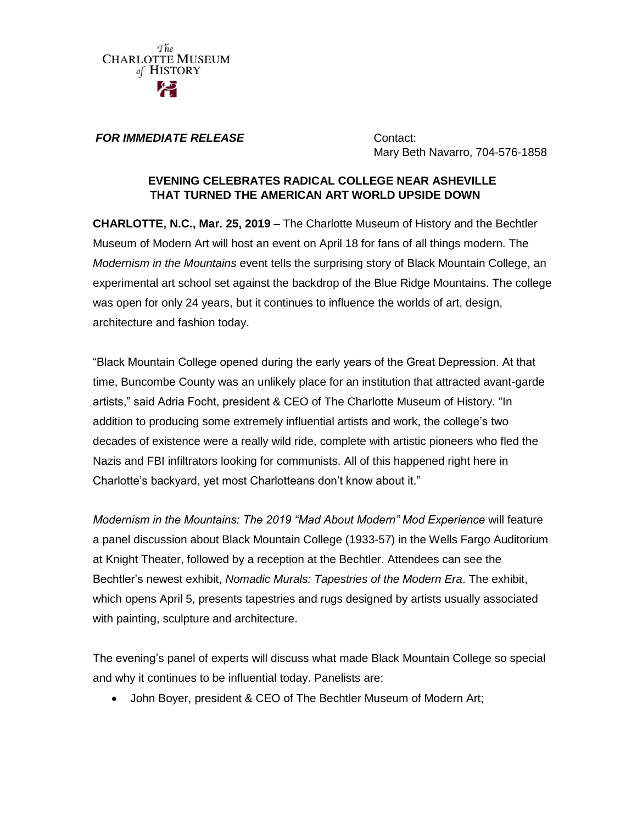

#### *FOR IMMEDIATE RELEASE* Contact:

Mary Beth Navarro, 704-576-1858

#### **EVENING CELEBRATES RADICAL COLLEGE NEAR ASHEVILLE THAT TURNED THE AMERICAN ART WORLD UPSIDE DOWN**

**CHARLOTTE, N.C., Mar. 25, 2019** – The Charlotte Museum of History and the Bechtler Museum of Modern Art will host an event on April 18 for fans of all things modern. The *Modernism in the Mountains* event tells the surprising story of Black Mountain College, an experimental art school set against the backdrop of the Blue Ridge Mountains. The college was open for only 24 years, but it continues to influence the worlds of art, design, architecture and fashion today.

"Black Mountain College opened during the early years of the Great Depression. At that time, Buncombe County was an unlikely place for an institution that attracted avant-garde artists," said Adria Focht, president & CEO of The Charlotte Museum of History. "In addition to producing some extremely influential artists and work, the college's two decades of existence were a really wild ride, complete with artistic pioneers who fled the Nazis and FBI infiltrators looking for communists. All of this happened right here in Charlotte's backyard, yet most Charlotteans don't know about it."

*Modernism in the Mountains: The 2019 "Mad About Modern" Mod Experience* will feature a panel discussion about Black Mountain College (1933-57) in the Wells Fargo Auditorium at Knight Theater, followed by a reception at the Bechtler. Attendees can see the Bechtler's newest exhibit, *Nomadic Murals: Tapestries of the Modern Era*. The exhibit, which opens April 5, presents tapestries and rugs designed by artists usually associated with painting, sculpture and architecture.

The evening's panel of experts will discuss what made Black Mountain College so special and why it continues to be influential today. Panelists are:

John Boyer, president & CEO of The Bechtler Museum of Modern Art;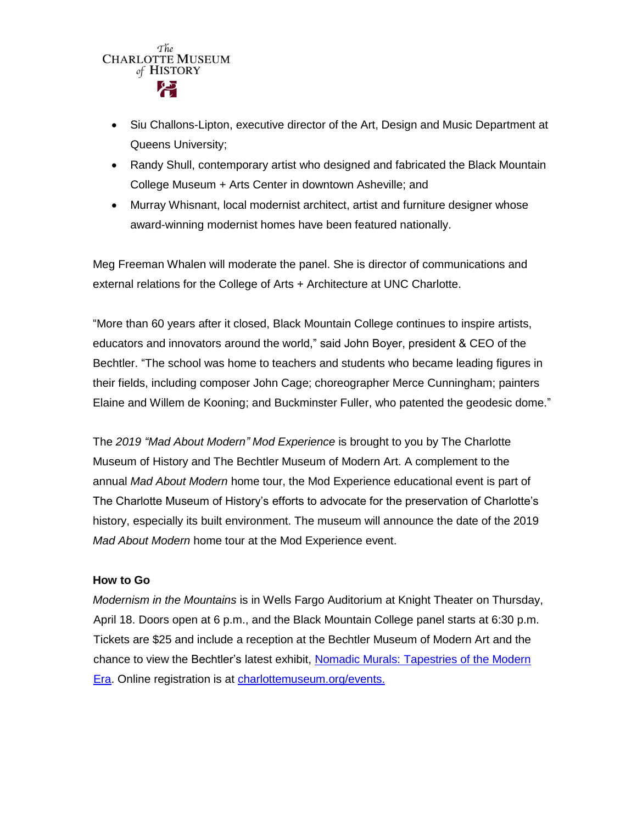# The **CHARLOTTE MUSEUM** of HISTORY

- Siu Challons-Lipton, executive director of the Art, Design and Music Department at Queens University;
- Randy Shull, contemporary artist who designed and fabricated the Black Mountain College Museum + Arts Center in downtown Asheville; and
- Murray Whisnant, local modernist architect, artist and furniture designer whose award-winning modernist homes have been featured nationally.

Meg Freeman Whalen will moderate the panel. She is director of communications and external relations for the College of Arts + Architecture at UNC Charlotte.

"More than 60 years after it closed, Black Mountain College continues to inspire artists, educators and innovators around the world," said John Boyer, president & CEO of the Bechtler. "The school was home to teachers and students who became leading figures in their fields, including composer John Cage; choreographer Merce Cunningham; painters Elaine and Willem de Kooning; and Buckminster Fuller, who patented the geodesic dome."

The *2019 "Mad About Modern" Mod Experience* is brought to you by The Charlotte Museum of History and The Bechtler Museum of Modern Art. A complement to the annual *Mad About Modern* home tour, the Mod Experience educational event is part of The Charlotte Museum of History's efforts to advocate for the preservation of Charlotte's history, especially its built environment. The museum will announce the date of the 2019 *Mad About Modern* home tour at the Mod Experience event.

#### **How to Go**

*Modernism in the Mountains* is in Wells Fargo Auditorium at Knight Theater on Thursday, April 18. Doors open at 6 p.m., and the Black Mountain College panel starts at 6:30 p.m. Tickets are \$25 and include a reception at the Bechtler Museum of Modern Art and the chance to view the Bechtler's latest exhibit, [Nomadic Murals: Tapestries of the Modern](http://bechtler.org/Collection/Nomadic-murals-tapestries-of-the-modern-era)  [Era.](http://bechtler.org/Collection/Nomadic-murals-tapestries-of-the-modern-era) Online registration is at [charlottemuseum.org/events.](http://charlottemuseum.org/tc-events/)